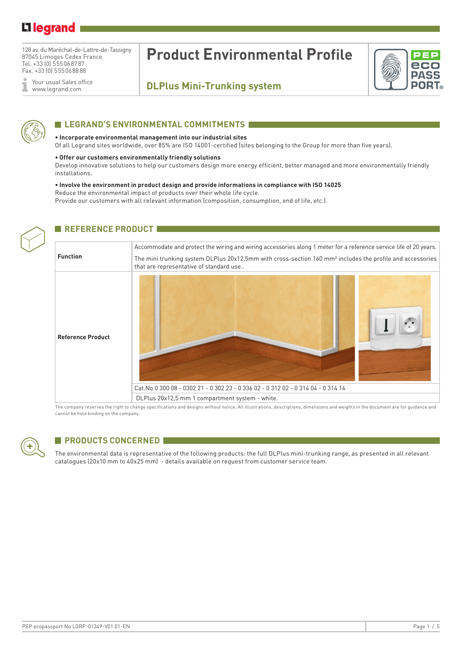## Li legrand

128 av. du Maréchal-de-Lattre-de-Tassigny 87045 Limoges Cedex France Tel. +33 (0) 555068787 Fax. +33 (0) 555068888

Your usual Sales office ĭ www.legrand.com

# **Product Environmental Profile**

## **DLPlus Mini-Trunking system**



## **ELEGRAND'S ENVIRONMENTAL COMMITMENTS**

#### **• Incorporate environmental management into our industrial sites**

Of all Legrand sites worldwide, over 85% are ISO 14001-certified (sites belonging to the Group for more than five years).

#### **• Offer our customers environmentally friendly solutions**

Develop innovative solutions to help our customers design more energy efficient, better managed and more environmentally friendly installations.

### **• Involve the environment in product design and provide informations in compliance with ISO 14025**

Reduce the environmental impact of products over their whole life cycle.

Provide our customers with all relevant information (composition, consumption, end of life, etc.).

| REFERENCE PRODUCT        |                                                                                                                                                                  |  |  |  |
|--------------------------|------------------------------------------------------------------------------------------------------------------------------------------------------------------|--|--|--|
|                          |                                                                                                                                                                  |  |  |  |
|                          | Accommodate and protect the wiring and wiring accessories along 1 meter for a reference service life of 20 years.                                                |  |  |  |
| <b>Function</b>          | The mini trunking system DLPlus 20x12,5mm with cross-section 160 mm <sup>2</sup> includes the profile and accessories<br>that are representative of standard use |  |  |  |
| <b>Reference Product</b> | Cat.No 0 300 08 - 0302 21 - 0 302 23 - 0 336 02 - 0 312 02 - 0 314 04 - 0 314 14                                                                                 |  |  |  |
|                          | DLPlus 20x12,5 mm 1 compartment system - white.                                                                                                                  |  |  |  |
|                          | the state of the state of the state of the state of the state of the state of the state of the state of the state of                                             |  |  |  |

The company reserves the right to change specifications and designs without notice. All illustrations, descriptions, dimensions and weights in the document are for guidance and cannot be held binding on the company.



## **PRODUCTS CONCERNED**

The environmental data is representative of the following products: the full DLPlus mini-trunking range, as presented in all relevant catalogues (20x10 mm to 40x25 mm) - details available on request from customer service team.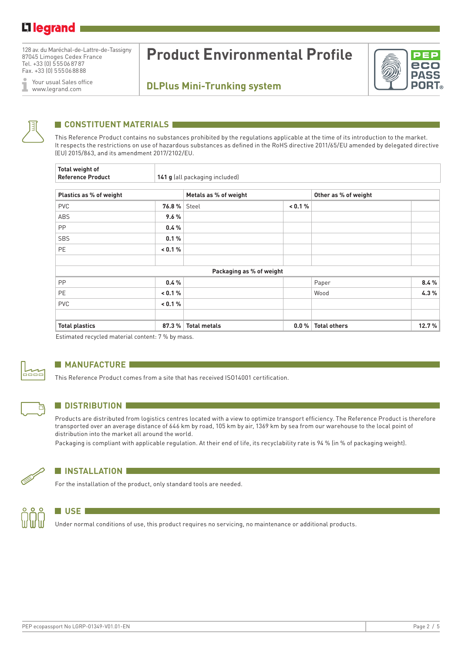## Li legrand

128 av. du Maréchal-de-Lattre-de-Tassigny 87045 Limoges Cedex France Tel. +33 (0) 555068787 Fax. +33 (0) 555068888

Your usual Sales office I www.legrand.com

# **Product Environmental Profile**



## **DLPlus Mini-Trunking system**



## **CONSTITUENT MATERIALS**

This Reference Product contains no substances prohibited by the regulations applicable at the time of its introduction to the market. It respects the restrictions on use of hazardous substances as defined in the RoHS directive 2011/65/EU amended by delegated directive (EU) 2015/863, and its amendment 2017/2102/EU.

| Total weight of<br><b>Reference Product</b> |         | 141 g (all packaging included) |         |                      |       |
|---------------------------------------------|---------|--------------------------------|---------|----------------------|-------|
| Plastics as % of weight                     |         | Metals as % of weight          |         | Other as % of weight |       |
| <b>PVC</b>                                  | 76.8%   | Steel                          | < 0.1 % |                      |       |
| ABS                                         | 9.6%    |                                |         |                      |       |
| <b>PP</b>                                   | 0.4%    |                                |         |                      |       |
| <b>SBS</b>                                  | 0.1%    |                                |         |                      |       |
| <b>PE</b>                                   | < 0.1 % |                                |         |                      |       |
|                                             |         |                                |         |                      |       |
|                                             |         | Packaging as % of weight       |         |                      |       |
| <b>PP</b>                                   | 0.4%    |                                |         | Paper                | 8.4%  |
| <b>PE</b>                                   | < 0.1 % |                                |         | Wood                 | 4.3%  |
| <b>PVC</b>                                  | < 0.1 % |                                |         |                      |       |
|                                             |         |                                |         |                      |       |
| <b>Total plastics</b>                       | 87.3%   | <b>Total metals</b>            | $0.0\%$ | <b>Total others</b>  | 12.7% |

Estimated recycled material content: 7 % by mass.



## **MANUFACTURE**

This Reference Product comes from a site that has received ISO14001 certification.



## **N** DISTRIBUTION

Products are distributed from logistics centres located with a view to optimize transport efficiency. The Reference Product is therefore transported over an average distance of 646 km by road, 105 km by air, 1369 km by sea from our warehouse to the local point of distribution into the market all around the world.

Packaging is compliant with applicable regulation. At their end of life, its recyclability rate is 94 % (in % of packaging weight).



## **N** INSTALLATION

For the installation of the product, only standard tools are needed.



#### **N** USE

Under normal conditions of use, this product requires no servicing, no maintenance or additional products.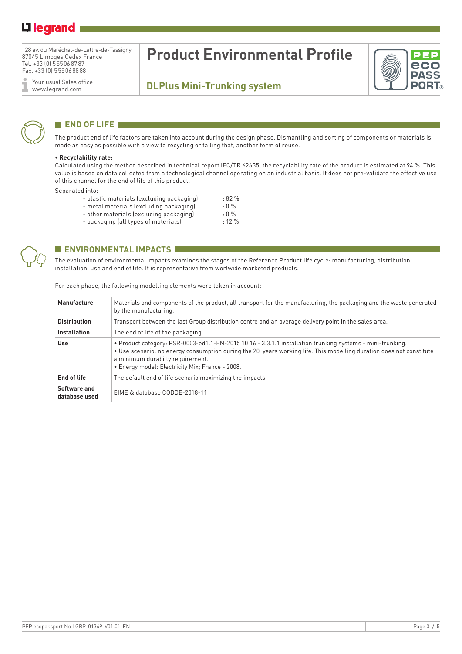## Li legrand

128 av. du Maréchal-de-Lattre-de-Tassigny 87045 Limoges Cedex France Tel. +33 (0) 555068787 Fax. +33 (0) 555068888

Your usual Sales office Ĩ www.legrand.com

# **Product Environmental Profile**

## **DLPlus Mini-Trunking system**



## **END OF LIFE**

The product end of life factors are taken into account during the design phase. Dismantling and sorting of components or materials is made as easy as possible with a view to recycling or failing that, another form of reuse.

#### **• Recyclability rate:**

Calculated using the method described in technical report IEC/TR 62635, the recyclability rate of the product is estimated at 94 %. This value is based on data collected from a technological channel operating on an industrial basis. It does not pre-validate the effective use of this channel for the end of life of this product.

Separated into:

| .                                         |           |
|-------------------------------------------|-----------|
| - plastic materials (excluding packaging) | :82%      |
| - metal materials (excluding packaging)   | $: 0 \%$  |
| - other materials (excluding packaging)   | $: 0 \%$  |
| - packaging (all types of materials)      | $: 12 \%$ |



## **ENVIRONMENTAL IMPACTS**

The evaluation of environmental impacts examines the stages of the Reference Product life cycle: manufacturing, distribution, installation, use and end of life. It is representative from worlwide marketed products.

| Manufacture                   | Materials and components of the product, all transport for the manufacturing, the packaging and the waste generated<br>by the manufacturing.                                                                                                                                                                            |  |  |  |
|-------------------------------|-------------------------------------------------------------------------------------------------------------------------------------------------------------------------------------------------------------------------------------------------------------------------------------------------------------------------|--|--|--|
| <b>Distribution</b>           | Transport between the last Group distribution centre and an average delivery point in the sales area.                                                                                                                                                                                                                   |  |  |  |
| <b>Installation</b>           | The end of life of the packaging.                                                                                                                                                                                                                                                                                       |  |  |  |
| <b>Use</b>                    | . Product category: PSR-0003-ed1.1-EN-2015 10 16 - 3.3.1.1 installation trunking systems - mini-trunking.<br>• Use scenario: no energy consumption during the 20 years working life. This modelling duration does not constitute<br>a minimum durabilty requirement.<br>• Energy model: Electricity Mix; France - 2008. |  |  |  |
| End of life                   | The default end of life scenario maximizing the impacts.                                                                                                                                                                                                                                                                |  |  |  |
| Software and<br>database used | EIME & database CODDE-2018-11                                                                                                                                                                                                                                                                                           |  |  |  |

For each phase, the following modelling elements were taken in account: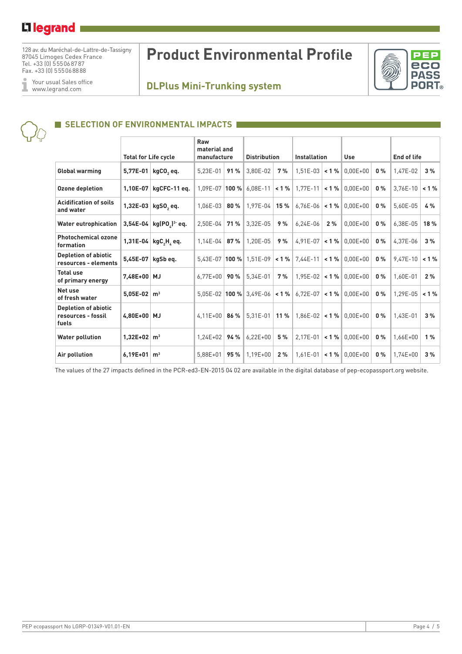## L<sub>1</sub> legrand

128 av. du Maréchal-de-Lattre-de-Tassigny 87045 Limoges Cedex France Tel. +33 (0) 555068787 Fax. +33 (0) 555068888

Your usual Sales office ĭ www.legrand.com

# **Product Environmental Profile**





## **SELECTION OF ENVIRONMENTAL IMPACTS**

|                                                            | <b>Total for Life cycle</b> |                            | Raw<br>material and<br>manufacture |      | <b>Distribution</b>         |     | <b>Installation</b>   |    | <b>Use</b>                                                                 |       | <b>End of life</b> |          |
|------------------------------------------------------------|-----------------------------|----------------------------|------------------------------------|------|-----------------------------|-----|-----------------------|----|----------------------------------------------------------------------------|-------|--------------------|----------|
| Global warming                                             |                             | 5,77E-01   kgCO, eq.       | $5,23E-01$                         | 91%  | 3.80E-02                    | 7%  | $1,51E-03$ < 1 %      |    | $0.00E + 00$                                                               | $0\%$ | 1,47E-02           | 3%       |
| <b>Ozone depletion</b>                                     | 1,10E-07                    | kgCFC-11 eg.               |                                    |      | $1.09E - 07$ 100 % 6.08E-11 |     | $\leq$ 1 %   1,77E-11 |    | $\leq 1\%$ 0.00E+00                                                        | $0\%$ | $3,76E-10$         | $< 1 \%$ |
| <b>Acidification of soils</b><br>and water                 | 1,32E-03                    | kgSO, eq.                  | $1.06E-03$                         | 80%  | $1.97E - 04$                | 15% | $6.76E-06$            |    | $< 1 \%$ 0.00E+00                                                          | $0\%$ | 5.60E-05           | 4 %      |
| <b>Water eutrophication</b>                                |                             | 3,54E-04   $kg(PO2)3- eq.$ | $2.50E-04$                         | 71 % | 3.32E-05                    | 9%  | $6.24E-06$            | 2% | $0.00E + 00$                                                               | $0\%$ | 6.38E-05           | 18%      |
| <b>Photochemical ozone</b><br>formation                    |                             | 1,31E-04   $kgC_2H_2$ eq.  | $1,14E-04$                         | 87%  | $1.20E-05$                  | 9%  | $4,91E-07$            |    | $< 1 % 0.00E+00$                                                           | $0\%$ | 4.37E-06           | 3%       |
| <b>Depletion of abiotic</b><br>resources - elements        | 5,45E-07                    | kgSb eq.                   |                                    |      | $5,43E-07$ 100 % 1.51E-09   |     | $< 1 \%$ 7.44E-11     |    | $\leq 1\%$ 0.00E+00                                                        | $0\%$ | $9,47E-10$         | $< 1 \%$ |
| <b>Total use</b><br>of primary energy                      | 7,48E+00 MJ                 |                            | $6.77E + 00$                       | 90 % | 5.34E-01                    | 7%  | $1.95E-02$            |    | $< 1 \%$ 0.00E+00                                                          | $0\%$ | 1.60E-01           | 2%       |
| Net use<br>of fresh water                                  | $5,05E-02 \mid m^3$         |                            |                                    |      |                             |     |                       |    | 5,05E-02 <b>100 %</b> 3,49E-06 < <b>1 %</b> 6,72E-07 < <b>1 %</b> 0,00E+00 | $0\%$ | $1.29E - 05$       | 1%       |
| <b>Depletion of abiotic</b><br>resources - fossil<br>fuels | 4,80E+00 MJ                 |                            | 4,11E+00   <b>86 %</b>             |      | $5.31E-01$                  |     |                       |    | 11 % $  1.86E - 02   < 1 %   0.00E + 00  $                                 | $0\%$ | 1.43E-01           | 3%       |
| <b>Water pollution</b>                                     | $1.32E+02 \, m^3$           |                            | $1.24E + 02$                       | 94 % | $6.22E + 00$                | 5 % | $2.17E-01$            |    | $< 1 \%$ 0.00E+00                                                          | $0\%$ | 1.66E+00           | 1%       |
| Air pollution                                              | 6,19E+01                    | m <sup>3</sup>             | $5,88E+01$                         | 95 % | $1.19E + 00$                | 2%  | $1.61E - 01$          |    | $\leq 1\%$ 0.00E+00                                                        | $0\%$ | $1.74E + 00$       | 3%       |

The values of the 27 impacts defined in the PCR-ed3-EN-2015 04 02 are available in the digital database of pep-ecopassport.org website.